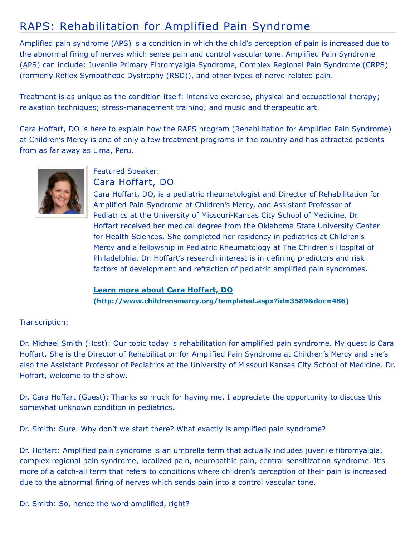## RAPS: Rehabilitation for Amplified Pain Syndrome

Amplified pain syndrome (APS) is a condition in which the child's perception of pain is increased due to the abnormal firing of nerves which sense pain and control vascular tone. Amplified Pain Syndrome (APS) can include: Juvenile Primary Fibromyalgia Syndrome, Complex Regional Pain Syndrome (CRPS) (formerly Reflex Sympathetic Dystrophy (RSD)), and other types of nerve-related pain.

Treatment is as unique as the condition itself: intensive exercise, physical and occupational therapy; relaxation techniques; stress-management training; and music and therapeutic art.

Cara Hoffart, DO is here to explain how the RAPS program (Rehabilitation for Amplified Pain Syndrome) at Children's Mercy is one of only a few treatment programs in the country and has attracted patients from as far away as Lima, Peru.



## Featured Speaker:

Cara Hoffart, DO

Cara Hoffart, DO, is a pediatric rheumatologist and Director of Rehabilitation for Amplified Pain Syndrome at Children's Mercy, and Assistant Professor of Pediatrics at the University of Missouri-Kansas City School of Medicine. Dr. Hoffart received her medical degree from the Oklahoma State University Center for Health Sciences. She completed her residency in pediatrics at Children's Mercy and a fellowship in Pediatric Rheumatology at The Children's Hospital of Philadelphia. Dr. Hoffart's research interest is in defining predictors and risk factors of development and refraction of pediatric amplified pain syndromes.

## **Learn more about Cara Hoffart, DO [\(http://www.childrensmercy.org/templated.aspx?id=3589&doc=486\)](http://www.childrensmercy.org/templated.aspx?id=3589&doc=486)**

## Transcription:

Dr. Michael Smith (Host): Our topic today is rehabilitation for amplified pain syndrome. My guest is Cara Hoffart. She is the Director of Rehabilitation for Amplified Pain Syndrome at Children's Mercy and she's also the Assistant Professor of Pediatrics at the University of Missouri Kansas City School of Medicine. Dr. Hoffart, welcome to the show.

Dr. Cara Hoffart (Guest): Thanks so much for having me. I appreciate the opportunity to discuss this somewhat unknown condition in pediatrics.

Dr. Smith: Sure. Why don't we start there? What exactly is amplified pain syndrome?

Dr. Hoffart: Amplified pain syndrome is an umbrella term that actually includes juvenile fibromyalgia, complex regional pain syndrome, localized pain, neuropathic pain, central sensitization syndrome. It's more of a catch-all term that refers to conditions where children's perception of their pain is increased due to the abnormal firing of nerves which sends pain into a control vascular tone.

Dr. Smith: So, hence the word amplified, right?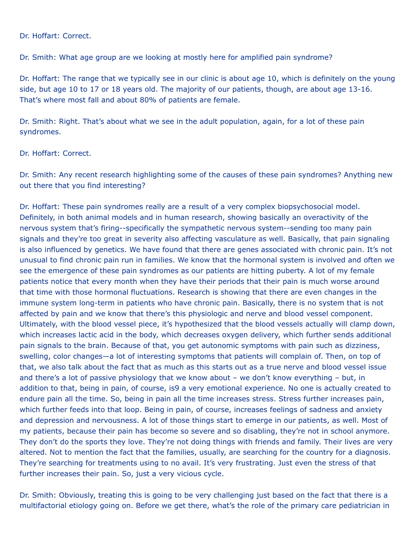Dr. Hoffart: Correct.

Dr. Smith: What age group are we looking at mostly here for amplified pain syndrome?

Dr. Hoffart: The range that we typically see in our clinic is about age 10, which is definitely on the young side, but age 10 to 17 or 18 years old. The majority of our patients, though, are about age 13-16. That's where most fall and about 80% of patients are female.

Dr. Smith: Right. That's about what we see in the adult population, again, for a lot of these pain syndromes.

Dr. Hoffart: Correct.

Dr. Smith: Any recent research highlighting some of the causes of these pain syndromes? Anything new out there that you find interesting?

Dr. Hoffart: These pain syndromes really are a result of a very complex biopsychosocial model. Definitely, in both animal models and in human research, showing basically an overactivity of the nervous system that's firing--specifically the sympathetic nervous system--sending too many pain signals and they're too great in severity also affecting vasculature as well. Basically, that pain signaling is also influenced by genetics. We have found that there are genes associated with chronic pain. It's not unusual to find chronic pain run in families. We know that the hormonal system is involved and often we see the emergence of these pain syndromes as our patients are hitting puberty. A lot of my female patients notice that every month when they have their periods that their pain is much worse around that time with those hormonal fluctuations. Research is showing that there are even changes in the immune system long-term in patients who have chronic pain. Basically, there is no system that is not affected by pain and we know that there's this physiologic and nerve and blood vessel component. Ultimately, with the blood vessel piece, it's hypothesized that the blood vessels actually will clamp down, which increases lactic acid in the body, which decreases oxygen delivery, which further sends additional pain signals to the brain. Because of that, you get autonomic symptoms with pain such as dizziness, swelling, color changes—a lot of interesting symptoms that patients will complain of. Then, on top of that, we also talk about the fact that as much as this starts out as a true nerve and blood vessel issue and there's a lot of passive physiology that we know about – we don't know everything – but, in addition to that, being in pain, of course, is9 a very emotional experience. No one is actually created to endure pain all the time. So, being in pain all the time increases stress. Stress further increases pain, which further feeds into that loop. Being in pain, of course, increases feelings of sadness and anxiety and depression and nervousness. A lot of those things start to emerge in our patients, as well. Most of my patients, because their pain has become so severe and so disabling, they're not in school anymore. They don't do the sports they love. They're not doing things with friends and family. Their lives are very altered. Not to mention the fact that the families, usually, are searching for the country for a diagnosis. They're searching for treatments using to no avail. It's very frustrating. Just even the stress of that further increases their pain. So, just a very vicious cycle.

Dr. Smith: Obviously, treating this is going to be very challenging just based on the fact that there is a multifactorial etiology going on. Before we get there, what's the role of the primary care pediatrician in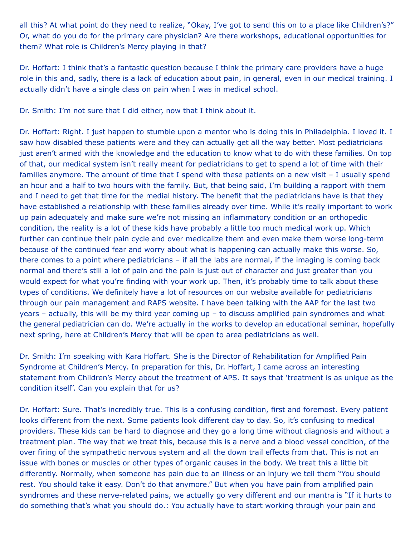all this? At what point do they need to realize, "Okay, I've got to send this on to a place like Children's?" Or, what do you do for the primary care physician? Are there workshops, educational opportunities for them? What role is Children's Mercy playing in that?

Dr. Hoffart: I think that's a fantastic question because I think the primary care providers have a huge role in this and, sadly, there is a lack of education about pain, in general, even in our medical training. I actually didn't have a single class on pain when I was in medical school.

Dr. Smith: I'm not sure that I did either, now that I think about it.

Dr. Hoffart: Right. I just happen to stumble upon a mentor who is doing this in Philadelphia. I loved it. I saw how disabled these patients were and they can actually get all the way better. Most pediatricians just aren't armed with the knowledge and the education to know what to do with these families. On top of that, our medical system isn't really meant for pediatricians to get to spend a lot of time with their families anymore. The amount of time that I spend with these patients on a new visit – I usually spend an hour and a half to two hours with the family. But, that being said, I'm building a rapport with them and I need to get that time for the medial history. The benefit that the pediatricians have is that they have established a relationship with these families already over time. While it's really important to work up pain adequately and make sure we're not missing an inflammatory condition or an orthopedic condition, the reality is a lot of these kids have probably a little too much medical work up. Which further can continue their pain cycle and over medicalize them and even make them worse long-term because of the continued fear and worry about what is happening can actually make this worse. So, there comes to a point where pediatricians – if all the labs are normal, if the imaging is coming back normal and there's still a lot of pain and the pain is just out of character and just greater than you would expect for what you're finding with your work up. Then, it's probably time to talk about these types of conditions. We definitely have a lot of resources on our website available for pediatricians through our pain management and RAPS website. I have been talking with the AAP for the last two years – actually, this will be my third year coming up – to discuss amplified pain syndromes and what the general pediatrician can do. We're actually in the works to develop an educational seminar, hopefully next spring, here at Children's Mercy that will be open to area pediatricians as well.

Dr. Smith: I'm speaking with Kara Hoffart. She is the Director of Rehabilitation for Amplified Pain Syndrome at Children's Mercy. In preparation for this, Dr. Hoffart, I came across an interesting statement from Children's Mercy about the treatment of APS. It says that 'treatment is as unique as the condition itself'. Can you explain that for us?

Dr. Hoffart: Sure. That's incredibly true. This is a confusing condition, first and foremost. Every patient looks different from the next. Some patients look different day to day. So, it's confusing to medical providers. These kids can be hard to diagnose and they go a long time without diagnosis and without a treatment plan. The way that we treat this, because this is a nerve and a blood vessel condition, of the over firing of the sympathetic nervous system and all the down trail effects from that. This is not an issue with bones or muscles or other types of organic causes in the body. We treat this a little bit differently. Normally, when someone has pain due to an illness or an injury we tell them "You should rest. You should take it easy. Don't do that anymore." But when you have pain from amplified pain syndromes and these nerve-related pains, we actually go very different and our mantra is "If it hurts to do something that's what you should do.: You actually have to start working through your pain and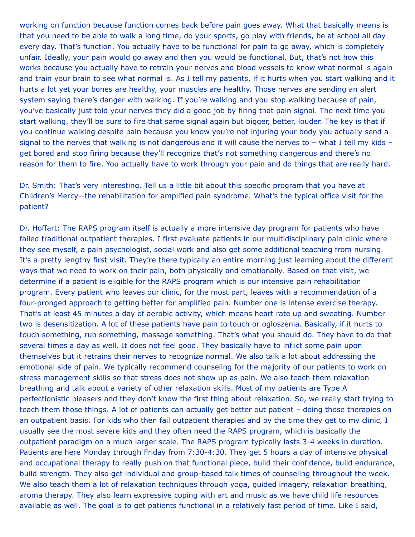working on function because function comes back before pain goes away. What that basically means is that you need to be able to walk a long time, do your sports, go play with friends, be at school all day every day. That's function. You actually have to be functional for pain to go away, which is completely unfair. Ideally, your pain would go away and then you would be functional. But, that's not how this works because you actually have to retrain your nerves and blood vessels to know what normal is again and train your brain to see what normal is. As I tell my patients, if it hurts when you start walking and it hurts a lot yet your bones are healthy, your muscles are healthy. Those nerves are sending an alert system saying there's danger with walking. If you're walking and you stop walking because of pain, you've basically just told your nerves they did a good job by firing that pain signal. The next time you start walking, they'll be sure to fire that same signal again but bigger, better, louder. The key is that if you continue walking despite pain because you know you're not injuring your body you actually send a signal to the nerves that walking is not dangerous and it will cause the nerves to  $-$  what I tell my kids  $$ get bored and stop firing because they'll recognize that's not something dangerous and there's no reason for them to fire. You actually have to work through your pain and do things that are really hard.

Dr. Smith: That's very interesting. Tell us a little bit about this specific program that you have at Children's Mercy--the rehabilitation for amplified pain syndrome. What's the typical office visit for the patient?

Dr. Hoffart: The RAPS program itself is actually a more intensive day program for patients who have failed traditional outpatient therapies. I first evaluate patients in our multidisciplinary pain clinic where they see myself, a pain psychologist, social work and also get some additional teaching from nursing. It's a pretty lengthy first visit. They're there typically an entire morning just learning about the different ways that we need to work on their pain, both physically and emotionally. Based on that visit, we determine if a patient is eligible for the RAPS program which is our intensive pain rehabilitation program. Every patient who leaves our clinic, for the most part, leaves with a recommendation of a four-pronged approach to getting better for amplified pain. Number one is intense exercise therapy. That's at least 45 minutes a day of aerobic activity, which means heart rate up and sweating. Number two is desensitization. A lot of these patients have pain to touch or ogloszenia. Basically, if it hurts to touch something, rub something, massage something. That's what you should do. They have to do that several times a day as well. It does not feel good. They basically have to inflict some pain upon themselves but it retrains their nerves to recognize normal. We also talk a lot about addressing the emotional side of pain. We typically recommend counseling for the majority of our patients to work on stress management skills so that stress does not show up as pain. We also teach them relaxation breathing and talk about a variety of other relaxation skills. Most of my patients are Type A perfectionistic pleasers and they don't know the first thing about relaxation. So, we really start trying to teach them those things. A lot of patients can actually get better out patient – doing those therapies on an outpatient basis. For kids who then fail outpatient therapies and by the time they get to my clinic, I usually see the most severe kids and they often need the RAPS program, which is basically the outpatient paradigm on a much larger scale. The RAPS program typically lasts 3-4 weeks in duration. Patients are here Monday through Friday from 7:30-4:30. They get 5 hours a day of intensive physical and occupational therapy to really push on that functional piece, build their confidence, build endurance, build strength. They also get individual and group-based talk times of counseling throughout the week. We also teach them a lot of relaxation techniques through yoga, guided imagery, relaxation breathing, aroma therapy. They also learn expressive coping with art and music as we have child life resources available as well. The goal is to get patients functional in a relatively fast period of time. Like I said,